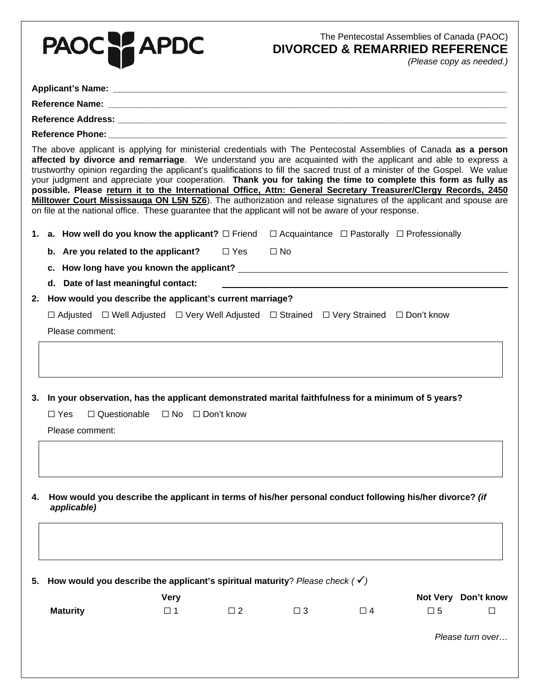|    | PAOC PAPDC                                                                                                                                                                                                                                                                                                                                                                                                                                                                                                                                                                                                                                                                                                                                                                                                                           |            |              | The Pentecostal Assemblies of Canada (PAOC)<br><b>DIVORCED &amp; REMARRIED REFERENCE</b> |             | (Please copy as needed.) |
|----|--------------------------------------------------------------------------------------------------------------------------------------------------------------------------------------------------------------------------------------------------------------------------------------------------------------------------------------------------------------------------------------------------------------------------------------------------------------------------------------------------------------------------------------------------------------------------------------------------------------------------------------------------------------------------------------------------------------------------------------------------------------------------------------------------------------------------------------|------------|--------------|------------------------------------------------------------------------------------------|-------------|--------------------------|
|    |                                                                                                                                                                                                                                                                                                                                                                                                                                                                                                                                                                                                                                                                                                                                                                                                                                      |            |              |                                                                                          |             |                          |
|    |                                                                                                                                                                                                                                                                                                                                                                                                                                                                                                                                                                                                                                                                                                                                                                                                                                      |            |              |                                                                                          |             |                          |
|    |                                                                                                                                                                                                                                                                                                                                                                                                                                                                                                                                                                                                                                                                                                                                                                                                                                      |            |              |                                                                                          |             |                          |
|    |                                                                                                                                                                                                                                                                                                                                                                                                                                                                                                                                                                                                                                                                                                                                                                                                                                      |            |              |                                                                                          |             |                          |
|    | The above applicant is applying for ministerial credentials with The Pentecostal Assemblies of Canada as a person<br>affected by divorce and remarriage. We understand you are acquainted with the applicant and able to express a<br>trustworthy opinion regarding the applicant's qualifications to fill the sacred trust of a minister of the Gospel. We value<br>your judgment and appreciate your cooperation. Thank you for taking the time to complete this form as fully as<br>possible. Please return it to the International Office, Attn: General Secretary Treasurer/Clergy Records, 2450<br>Milltower Court Mississauga ON L5N 5Z6). The authorization and release signatures of the applicant and spouse are<br>on file at the national office. These guarantee that the applicant will not be aware of your response. |            |              |                                                                                          |             |                          |
|    | 1. a. How well do you know the applicant? $\Box$ Friend $\Box$ Acquaintance $\Box$ Pastorally $\Box$ Professionally                                                                                                                                                                                                                                                                                                                                                                                                                                                                                                                                                                                                                                                                                                                  |            |              |                                                                                          |             |                          |
|    | b. Are you related to the applicant?                                                                                                                                                                                                                                                                                                                                                                                                                                                                                                                                                                                                                                                                                                                                                                                                 | $\Box$ Yes | $\square$ No |                                                                                          |             |                          |
|    | c. How long have you known the applicant? The state of the state of the state of the state of the state of the                                                                                                                                                                                                                                                                                                                                                                                                                                                                                                                                                                                                                                                                                                                       |            |              |                                                                                          |             |                          |
|    | d. Date of last meaningful contact:                                                                                                                                                                                                                                                                                                                                                                                                                                                                                                                                                                                                                                                                                                                                                                                                  |            |              |                                                                                          |             |                          |
| 2. | How would you describe the applicant's current marriage?                                                                                                                                                                                                                                                                                                                                                                                                                                                                                                                                                                                                                                                                                                                                                                             |            |              |                                                                                          |             |                          |
|    | $\Box$ Adjusted $\Box$ Well Adjusted $\Box$ Very Well Adjusted $\Box$ Strained $\Box$ Very Strained $\Box$ Don't know                                                                                                                                                                                                                                                                                                                                                                                                                                                                                                                                                                                                                                                                                                                |            |              |                                                                                          |             |                          |
|    | Please comment:                                                                                                                                                                                                                                                                                                                                                                                                                                                                                                                                                                                                                                                                                                                                                                                                                      |            |              |                                                                                          |             |                          |
|    | 3. In your observation, has the applicant demonstrated marital faithfulness for a minimum of 5 years?<br>□ Yes □ Questionable □ No □ Don't know<br>Please comment:                                                                                                                                                                                                                                                                                                                                                                                                                                                                                                                                                                                                                                                                   |            |              |                                                                                          |             |                          |
| 4. | How would you describe the applicant in terms of his/her personal conduct following his/her divorce? (if<br>applicable)                                                                                                                                                                                                                                                                                                                                                                                                                                                                                                                                                                                                                                                                                                              |            |              |                                                                                          |             |                          |
| 5. | How would you describe the applicant's spiritual maturity? Please check ( $\checkmark$ )                                                                                                                                                                                                                                                                                                                                                                                                                                                                                                                                                                                                                                                                                                                                             |            |              |                                                                                          |             |                          |
|    | <b>Very</b><br><b>Maturity</b><br>$\square$ 1                                                                                                                                                                                                                                                                                                                                                                                                                                                                                                                                                                                                                                                                                                                                                                                        | $\Box$ 2   | $\Box$ 3     | $\Box$ 4                                                                                 | $\square$ 5 | Not Very Don't know<br>□ |
|    |                                                                                                                                                                                                                                                                                                                                                                                                                                                                                                                                                                                                                                                                                                                                                                                                                                      |            |              |                                                                                          |             | Please turn over         |